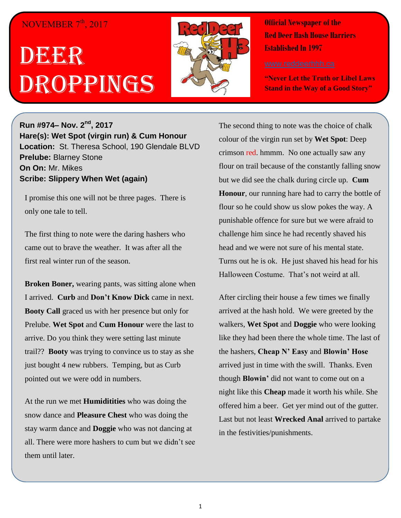## NOVEMBER 7<sup>th</sup>, 2017

## DEECR Droppings



**Official Newspaper of the Red Deer Hash House Harriers Established In 1997** 

**"Never Let the Truth or Libel Laws Stand in the Way of a Good Story"**

**Run #974– Nov. 2nd, 2017 Hare(s): Wet Spot (virgin run) & Cum Honour Location:** St. Theresa School, 190 Glendale BLVD **Prelube:** Blarney Stone **On On:** Mr. Mikes **Scribe: Slippery When Wet (again)**

I promise this one will not be three pages. There is only one tale to tell.

The first thing to note were the daring hashers who came out to brave the weather. It was after all the first real winter run of the season.

**Broken Boner,** wearing pants, was sitting alone when I arrived. **Curb** and **Don't Know Dick** came in next. **Booty Call** graced us with her presence but only for Prelube. **Wet Spot** and **Cum Honour** were the last to arrive. Do you think they were setting last minute trail?? **Booty** was trying to convince us to stay as she just bought 4 new rubbers. Temping, but as Curb pointed out we were odd in numbers.

At the run we met **Humiditities** who was doing the snow dance and **Pleasure Chest** who was doing the stay warm dance and **Doggie** who was not dancing at all. There were more hashers to cum but we didn't see them until later.

The second thing to note was the choice of chalk colour of the virgin run set by **Wet Spot**: Deep crimson red. hmmm. No one actually saw any flour on trail because of the constantly falling snow but we did see the chalk during circle up. **Cum Honour**, our running hare had to carry the bottle of flour so he could show us slow pokes the way. A punishable offence for sure but we were afraid to challenge him since he had recently shaved his head and we were not sure of his mental state. Turns out he is ok. He just shaved his head for his Halloween Costume. That's not weird at all.

After circling their house a few times we finally arrived at the hash hold. We were greeted by the walkers, **Wet Spot** and **Doggie** who were looking like they had been there the whole time. The last of the hashers, **Cheap N' Easy** and **Blowin' Hose** arrived just in time with the swill. Thanks. Even though **Blowin'** did not want to come out on a night like this **Cheap** made it worth his while. She offered him a beer. Get yer mind out of the gutter. Last but not least **Wrecked Anal** arrived to partake in the festivities/punishments.